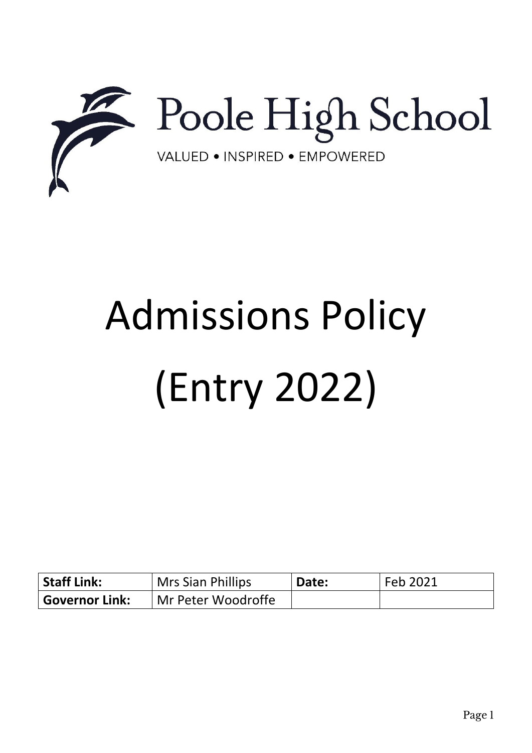

# Admissions Policy (Entry 2022)

| <b>Staff Link:</b> | <sup>I</sup> Mrs Sian Phillips | Date: | Feb 2021 |
|--------------------|--------------------------------|-------|----------|
| ' Governor Link:   | Mr Peter Woodroffe             |       |          |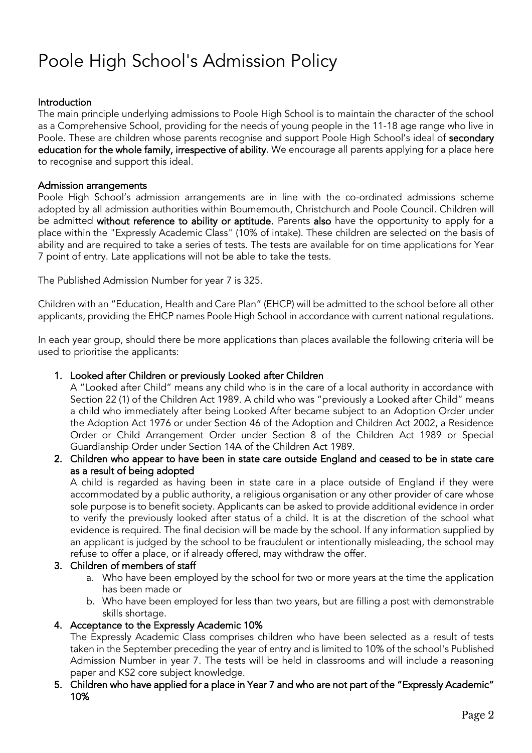# Poole High School's Admission Policy

# Introduction

The main principle underlying admissions to Poole High School is to maintain the character of the school as a Comprehensive School, providing for the needs of young people in the 11-18 age range who live in Poole. These are children whose parents recognise and support Poole High School's ideal of secondary education for the whole family, irrespective of ability. We encourage all parents applying for a place here to recognise and support this ideal.

#### Admission arrangements

Poole High School's admission arrangements are in line with the co-ordinated admissions scheme adopted by all admission authorities within Bournemouth, Christchurch and Poole Council. Children will be admitted without reference to ability or aptitude. Parents also have the opportunity to apply for a place within the "Expressly Academic Class" (10% of intake). These children are selected on the basis of ability and are required to take a series of tests. The tests are available for on time applications for Year 7 point of entry. Late applications will not be able to take the tests.

The Published Admission Number for year 7 is 325.

Children with an "Education, Health and Care Plan" (EHCP) will be admitted to the school before all other applicants, providing the EHCP names Poole High School in accordance with current national regulations.

In each year group, should there be more applications than places available the following criteria will be used to prioritise the applicants:

#### 1. Looked after Children or previously Looked after Children

A "Looked after Child" means any child who is in the care of a local authority in accordance with Section 22 (1) of the Children Act 1989. A child who was "previously a Looked after Child" means a child who immediately after being Looked After became subject to an Adoption Order under the Adoption Act 1976 or under Section 46 of the Adoption and Children Act 2002, a Residence Order or Child Arrangement Order under Section 8 of the Children Act 1989 or Special Guardianship Order under Section 14A of the Children Act 1989.

2. Children who appear to have been in state care outside England and ceased to be in state care as a result of being adopted

A child is regarded as having been in state care in a place outside of England if they were accommodated by a public authority, a religious organisation or any other provider of care whose sole purpose is to benefit society. Applicants can be asked to provide additional evidence in order to verify the previously looked after status of a child. It is at the discretion of the school what evidence is required. The final decision will be made by the school. If any information supplied by an applicant is judged by the school to be fraudulent or intentionally misleading, the school may refuse to offer a place, or if already offered, may withdraw the offer.

# 3. Children of members of staff

- a. Who have been employed by the school for two or more years at the time the application has been made or
- b. Who have been employed for less than two years, but are filling a post with demonstrable skills shortage.

#### 4. Acceptance to the Expressly Academic 10%

The Expressly Academic Class comprises children who have been selected as a result of tests taken in the September preceding the year of entry and is limited to 10% of the school's Published Admission Number in year 7. The tests will be held in classrooms and will include a reasoning paper and KS2 core subject knowledge.

5. Children who have applied for a place in Year 7 and who are not part of the "Expressly Academic" 10%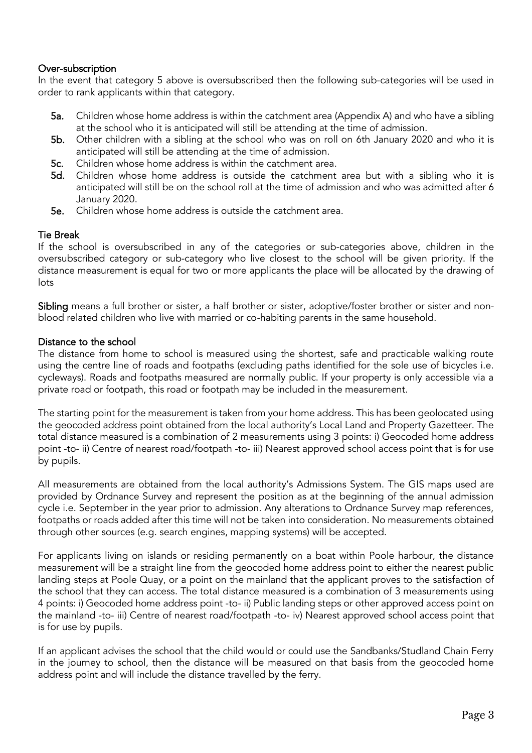# Over-subscription

In the event that category 5 above is oversubscribed then the following sub-categories will be used in order to rank applicants within that category.

- 5a. Children whose home address is within the catchment area (Appendix A) and who have a sibling at the school who it is anticipated will still be attending at the time of admission.
- 5b. Other children with a sibling at the school who was on roll on 6th January 2020 and who it is anticipated will still be attending at the time of admission.
- 5c. Children whose home address is within the catchment area.<br>5d. Children whose home address is outside the catchment
- Children whose home address is outside the catchment area but with a sibling who it is anticipated will still be on the school roll at the time of admission and who was admitted after 6 January 2020.
- 5e. Children whose home address is outside the catchment area.

# Tie Break

If the school is oversubscribed in any of the categories or sub-categories above, children in the oversubscribed category or sub-category who live closest to the school will be given priority. If the distance measurement is equal for two or more applicants the place will be allocated by the drawing of lots

Sibling means a full brother or sister, a half brother or sister, adoptive/foster brother or sister and nonblood related children who live with married or co-habiting parents in the same household.

#### Distance to the school

The distance from home to school is measured using the shortest, safe and practicable walking route using the centre line of roads and footpaths (excluding paths identified for the sole use of bicycles i.e. cycleways). Roads and footpaths measured are normally public. If your property is only accessible via a private road or footpath, this road or footpath may be included in the measurement.

The starting point for the measurement is taken from your home address. This has been geolocated using the geocoded address point obtained from the local authority's Local Land and Property Gazetteer. The total distance measured is a combination of 2 measurements using 3 points: i) Geocoded home address point -to- ii) Centre of nearest road/footpath -to- iii) Nearest approved school access point that is for use by pupils.

All measurements are obtained from the local authority's Admissions System. The GIS maps used are provided by Ordnance Survey and represent the position as at the beginning of the annual admission cycle i.e. September in the year prior to admission. Any alterations to Ordnance Survey map references, footpaths or roads added after this time will not be taken into consideration. No measurements obtained through other sources (e.g. search engines, mapping systems) will be accepted.

For applicants living on islands or residing permanently on a boat within Poole harbour, the distance measurement will be a straight line from the geocoded home address point to either the nearest public landing steps at Poole Quay, or a point on the mainland that the applicant proves to the satisfaction of the school that they can access. The total distance measured is a combination of 3 measurements using 4 points: i) Geocoded home address point -to- ii) Public landing steps or other approved access point on the mainland -to- iii) Centre of nearest road/footpath -to- iv) Nearest approved school access point that is for use by pupils.

If an applicant advises the school that the child would or could use the Sandbanks/Studland Chain Ferry in the journey to school, then the distance will be measured on that basis from the geocoded home address point and will include the distance travelled by the ferry.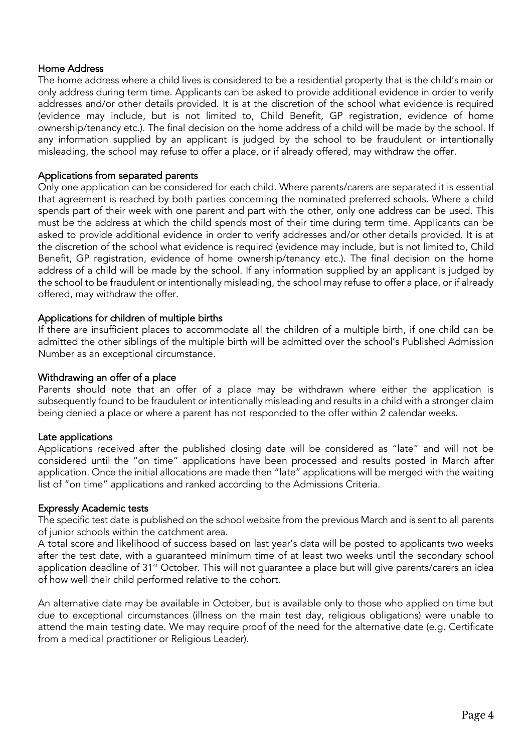# Home Address

The home address where a child lives is considered to be a residential property that is the child's main or only address during term time. Applicants can be asked to provide additional evidence in order to verify addresses and/or other details provided. It is at the discretion of the school what evidence is required (evidence may include, but is not limited to, Child Benefit, GP registration, evidence of home ownership/tenancy etc.). The final decision on the home address of a child will be made by the school. If any information supplied by an applicant is judged by the school to be fraudulent or intentionally misleading, the school may refuse to offer a place, or if already offered, may withdraw the offer.

# Applications from separated parents

Only one application can be considered for each child. Where parents/carers are separated it is essential that agreement is reached by both parties concerning the nominated preferred schools. Where a child spends part of their week with one parent and part with the other, only one address can be used. This must be the address at which the child spends most of their time during term time. Applicants can be asked to provide additional evidence in order to verify addresses and/or other details provided. It is at the discretion of the school what evidence is required (evidence may include, but is not limited to, Child Benefit, GP registration, evidence of home ownership/tenancy etc.). The final decision on the home address of a child will be made by the school. If any information supplied by an applicant is judged by the school to be fraudulent or intentionally misleading, the school may refuse to offer a place, or if already offered, may withdraw the offer.

# Applications for children of multiple births

If there are insufficient places to accommodate all the children of a multiple birth, if one child can be admitted the other siblings of the multiple birth will be admitted over the school's Published Admission Number as an exceptional circumstance.

#### Withdrawing an offer of a place

Parents should note that an offer of a place may be withdrawn where either the application is subsequently found to be fraudulent or intentionally misleading and results in a child with a stronger claim being denied a place or where a parent has not responded to the offer within 2 calendar weeks.

#### Late applications

Applications received after the published closing date will be considered as "late" and will not be considered until the "on time" applications have been processed and results posted in March after application. Once the initial allocations are made then "late" applications will be merged with the waiting list of "on time" applications and ranked according to the Admissions Criteria.

#### Expressly Academic tests

The specific test date is published on the school website from the previous March and is sent to all parents of junior schools within the catchment area.

A total score and likelihood of success based on last year's data will be posted to applicants two weeks after the test date, with a guaranteed minimum time of at least two weeks until the secondary school application deadline of 31<sup>st</sup> October. This will not guarantee a place but will give parents/carers an idea of how well their child performed relative to the cohort.

An alternative date may be available in October, but is available only to those who applied on time but due to exceptional circumstances (illness on the main test day, religious obligations) were unable to attend the main testing date. We may require proof of the need for the alternative date (e.g. Certificate from a medical practitioner or Religious Leader).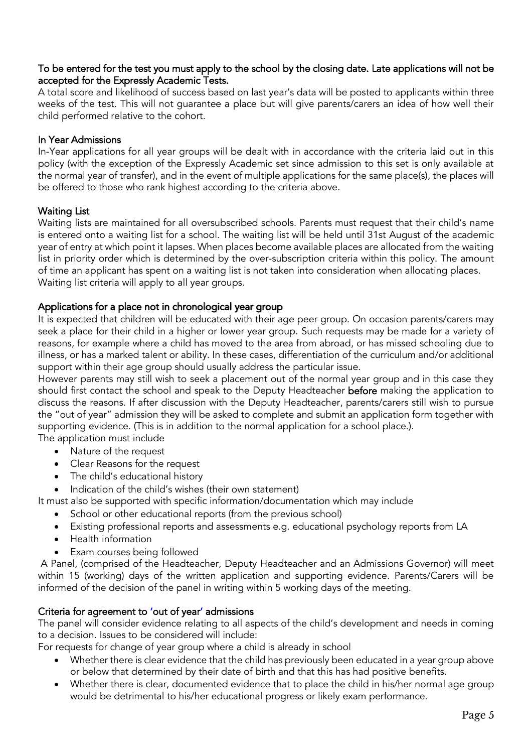# To be entered for the test you must apply to the school by the closing date. Late applications will not be accepted for the Expressly Academic Tests.

A total score and likelihood of success based on last year's data will be posted to applicants within three weeks of the test. This will not guarantee a place but will give parents/carers an idea of how well their child performed relative to the cohort.

# In Year Admissions

In-Year applications for all year groups will be dealt with in accordance with the criteria laid out in this policy (with the exception of the Expressly Academic set since admission to this set is only available at the normal year of transfer), and in the event of multiple applications for the same place(s), the places will be offered to those who rank highest according to the criteria above.

# Waiting List

Waiting lists are maintained for all oversubscribed schools. Parents must request that their child's name is entered onto a waiting list for a school. The waiting list will be held until 31st August of the academic year of entry at which point it lapses. When places become available places are allocated from the waiting list in priority order which is determined by the over-subscription criteria within this policy. The amount of time an applicant has spent on a waiting list is not taken into consideration when allocating places. Waiting list criteria will apply to all year groups.

# Applications for a place not in chronological year group

It is expected that children will be educated with their age peer group. On occasion parents/carers may seek a place for their child in a higher or lower year group. Such requests may be made for a variety of reasons, for example where a child has moved to the area from abroad, or has missed schooling due to illness, or has a marked talent or ability. In these cases, differentiation of the curriculum and/or additional support within their age group should usually address the particular issue.

However parents may still wish to seek a placement out of the normal year group and in this case they should first contact the school and speak to the Deputy Headteacher before making the application to discuss the reasons. If after discussion with the Deputy Headteacher, parents/carers still wish to pursue the "out of year" admission they will be asked to complete and submit an application form together with supporting evidence. (This is in addition to the normal application for a school place.).

- The application must include
	- Nature of the request
	- Clear Reasons for the request
	- The child's educational history
	- Indication of the child's wishes (their own statement)

It must also be supported with specific information/documentation which may include

- School or other educational reports (from the previous school)
- Existing professional reports and assessments e.g. educational psychology reports from LA
- Health information
- Exam courses being followed

A Panel, (comprised of the Headteacher, Deputy Headteacher and an Admissions Governor) will meet within 15 (working) days of the written application and supporting evidence. Parents/Carers will be informed of the decision of the panel in writing within 5 working days of the meeting.

# Criteria for agreement to 'out of year' admissions

The panel will consider evidence relating to all aspects of the child's development and needs in coming to a decision. Issues to be considered will include:

For requests for change of year group where a child is already in school

- Whether there is clear evidence that the child has previously been educated in a year group above or below that determined by their date of birth and that this has had positive benefits.
- Whether there is clear, documented evidence that to place the child in his/her normal age group would be detrimental to his/her educational progress or likely exam performance.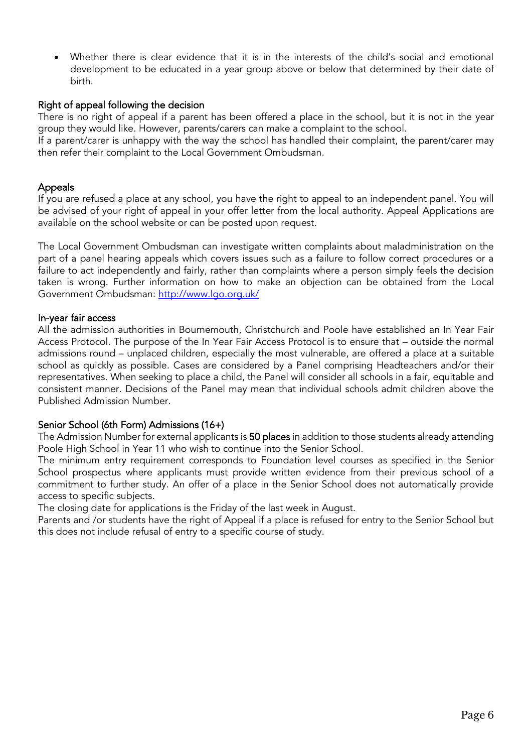Whether there is clear evidence that it is in the interests of the child's social and emotional development to be educated in a year group above or below that determined by their date of birth.

# Right of appeal following the decision

There is no right of appeal if a parent has been offered a place in the school, but it is not in the year group they would like. However, parents/carers can make a complaint to the school.

If a parent/carer is unhappy with the way the school has handled their complaint, the parent/carer may then refer their complaint to the Local Government Ombudsman.

# Appeals

If you are refused a place at any school, you have the right to appeal to an independent panel. You will be advised of your right of appeal in your offer letter from the local authority. Appeal Applications are available on the school website or can be posted upon request.

The Local Government Ombudsman can investigate written complaints about maladministration on the part of a panel hearing appeals which covers issues such as a failure to follow correct procedures or a failure to act independently and fairly, rather than complaints where a person simply feels the decision taken is wrong. Further information on how to make an objection can be obtained from the Local Government Ombudsman:<http://www.lgo.org.uk/>

#### In-year fair access

All the admission authorities in Bournemouth, Christchurch and Poole have established an In Year Fair Access Protocol. The purpose of the In Year Fair Access Protocol is to ensure that – outside the normal admissions round – unplaced children, especially the most vulnerable, are offered a place at a suitable school as quickly as possible. Cases are considered by a Panel comprising Headteachers and/or their representatives. When seeking to place a child, the Panel will consider all schools in a fair, equitable and consistent manner. Decisions of the Panel may mean that individual schools admit children above the Published Admission Number.

#### Senior School (6th Form) Admissions (16+)

The Admission Number for external applicants is 50 places in addition to those students already attending Poole High School in Year 11 who wish to continue into the Senior School.

The minimum entry requirement corresponds to Foundation level courses as specified in the Senior School prospectus where applicants must provide written evidence from their previous school of a commitment to further study. An offer of a place in the Senior School does not automatically provide access to specific subjects.

The closing date for applications is the Friday of the last week in August.

Parents and /or students have the right of Appeal if a place is refused for entry to the Senior School but this does not include refusal of entry to a specific course of study.